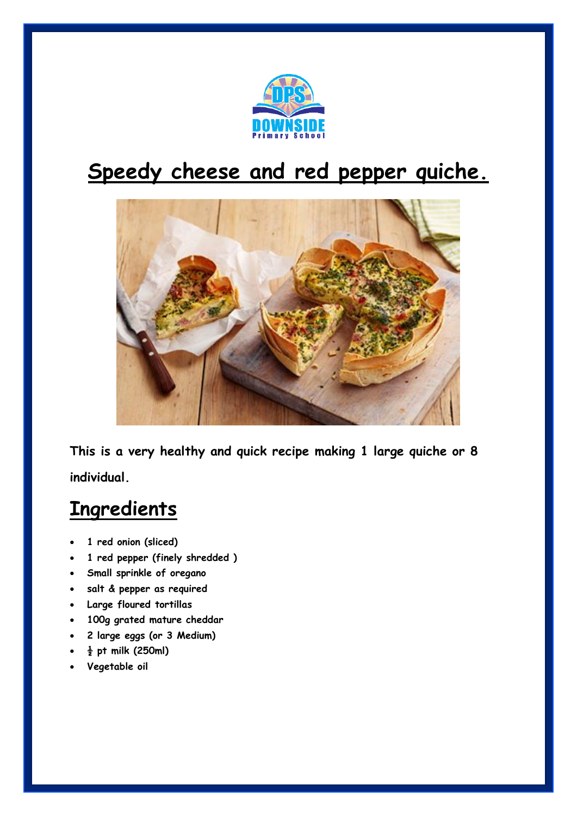

## **Speedy cheese and red pepper quiche.**



**This is a very healthy and quick recipe making 1 large quiche or 8 individual.**

## **Ingredients**

- **1 red onion (sliced)**
- **1 red pepper (finely shredded )**
- **Small sprinkle of oregano**
- **salt & pepper as required**
- **Large floured tortillas**
- **100g grated mature cheddar**
- **2 large eggs (or 3 Medium)**
- **½ pt milk (250ml)**
- **Vegetable oil**